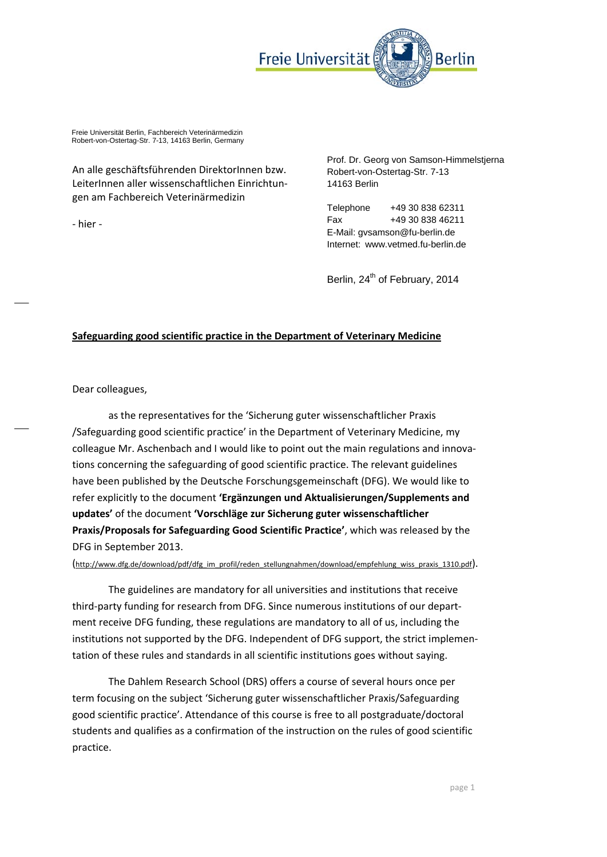

Freie Universität Berlin, Fachbereich Veterinärmedizin Robert-von-Ostertag-Str. 7-13, 14163 Berlin, Germany

An alle geschäftsführenden DirektorInnen bzw. LeiterInnen aller wissenschaftlichen Einrichtun‐ gen am Fachbereich Veterinärmedizin

‐ hier ‐

Prof. Dr. Georg von Samson-Himmelstjerna Robert-von-Ostertag-Str. 7-13 14163 Berlin

Telephone +49 30 838 62311 Fax +49 30 838 46211 E-Mail: gvsamson@fu-berlin.de Internet: www.vetmed.fu-berlin.de

Berlin, 24<sup>th</sup> of February, 2014

## **Safeguarding good scientific practice in the Department of Veterinary Medicine**

Dear colleagues,

as the representatives for the 'Sicherung guter wissenschaftlicher Praxis /Safeguarding good scientific practice' in the Department of Veterinary Medicine, my colleague Mr. Aschenbach and I would like to point out the main regulations and innovations concerning the safeguarding of good scientific practice. The relevant guidelines have been published by the Deutsche Forschungsgemeinschaft (DFG). We would like to refer explicitly to the document **'Ergänzungen und Aktualisierungen/Supplements and updates'** of the document **'Vorschläge zur Sicherung guter wissenschaftlicher Praxis/Proposals for Safeguarding Good Scientific Practice'**, which was released by the DFG in September 2013.

(http://www.dfg.de/download/pdf/dfg\_im\_profil/reden\_stellungnahmen/download/empfehlung\_wiss\_praxis\_1310.pdf).

The guidelines are mandatory for all universities and institutions that receive third-party funding for research from DFG. Since numerous institutions of our department receive DFG funding, these regulations are mandatory to all of us, including the institutions not supported by the DFG. Independent of DFG support, the strict implemen‐ tation of these rules and standards in all scientific institutions goes without saying.

The Dahlem Research School (DRS) offers a course of several hours once per term focusing on the subject 'Sicherung guter wissenschaftlicher Praxis/Safeguarding good scientific practice'. Attendance of this course is free to all postgraduate/doctoral students and qualifies as a confirmation of the instruction on the rules of good scientific practice.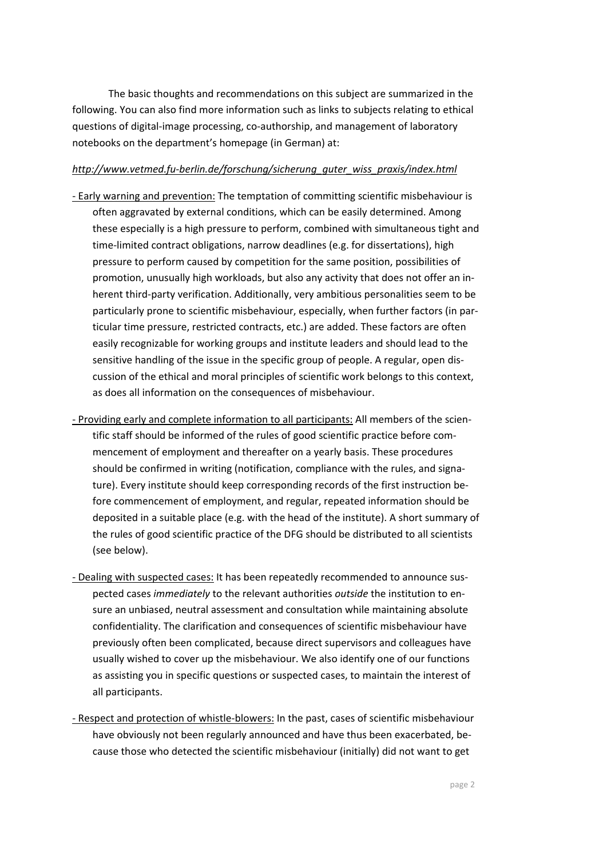The basic thoughts and recommendations on this subject are summarized in the following. You can also find more information such as links to subjects relating to ethical questions of digital‐image processing, co‐authorship, and management of laboratory notebooks on the department's homepage (in German) at:

## *http://www.vetmed.fu‐berlin.de/forschung/sicherung\_guter\_wiss\_praxis/index.html*

- ‐ Early warning and prevention: The temptation of committing scientific misbehaviour is often aggravated by external conditions, which can be easily determined. Among these especially is a high pressure to perform, combined with simultaneous tight and time-limited contract obligations, narrow deadlines (e.g. for dissertations), high pressure to perform caused by competition for the same position, possibilities of promotion, unusually high workloads, but also any activity that does not offer an in‐ herent third‐party verification. Additionally, very ambitious personalities seem to be particularly prone to scientific misbehaviour, especially, when further factors (in par‐ ticular time pressure, restricted contracts, etc.) are added. These factors are often easily recognizable for working groups and institute leaders and should lead to the sensitive handling of the issue in the specific group of people. A regular, open dis‐ cussion of the ethical and moral principles of scientific work belongs to this context, as does all information on the consequences of misbehaviour.
- ‐ Providing early and complete information to all participants: All members of the scien‐ tific staff should be informed of the rules of good scientific practice before com‐ mencement of employment and thereafter on a yearly basis. These procedures should be confirmed in writing (notification, compliance with the rules, and signature). Every institute should keep corresponding records of the first instruction be‐ fore commencement of employment, and regular, repeated information should be deposited in a suitable place (e.g. with the head of the institute). A short summary of the rules of good scientific practice of the DFG should be distributed to all scientists (see below).
- ‐ Dealing with suspected cases: It has been repeatedly recommended to announce sus‐ pected cases *immediately* to the relevant authorities *outside* the institution to en‐ sure an unbiased, neutral assessment and consultation while maintaining absolute confidentiality. The clarification and consequences of scientific misbehaviour have previously often been complicated, because direct supervisors and colleagues have usually wished to cover up the misbehaviour. We also identify one of our functions as assisting you in specific questions or suspected cases, to maintain the interest of all participants.
- ‐ Respect and protection of whistle‐blowers: In the past, cases of scientific misbehaviour have obviously not been regularly announced and have thus been exacerbated, because those who detected the scientific misbehaviour (initially) did not want to get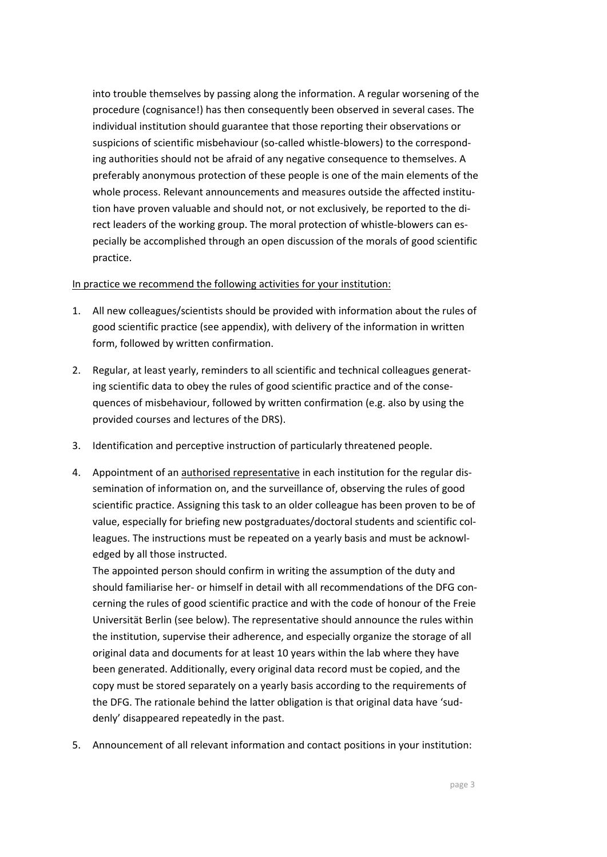into trouble themselves by passing along the information. A regular worsening of the procedure (cognisance!) has then consequently been observed in several cases. The individual institution should guarantee that those reporting their observations or suspicions of scientific misbehaviour (so-called whistle-blowers) to the corresponding authorities should not be afraid of any negative consequence to themselves. A preferably anonymous protection of these people is one of the main elements of the whole process. Relevant announcements and measures outside the affected institution have proven valuable and should not, or not exclusively, be reported to the di‐ rect leaders of the working group. The moral protection of whistle‐blowers can es‐ pecially be accomplished through an open discussion of the morals of good scientific practice.

## In practice we recommend the following activities for your institution:

- 1. All new colleagues/scientists should be provided with information about the rules of good scientific practice (see appendix), with delivery of the information in written form, followed by written confirmation.
- 2. Regular, at least yearly, reminders to all scientific and technical colleagues generat‐ ing scientific data to obey the rules of good scientific practice and of the conse‐ quences of misbehaviour, followed by written confirmation (e.g. also by using the provided courses and lectures of the DRS).
- 3. Identification and perceptive instruction of particularly threatened people.
- 4. Appointment of an authorised representative in each institution for the regular dissemination of information on, and the surveillance of, observing the rules of good scientific practice. Assigning this task to an older colleague has been proven to be of value, especially for briefing new postgraduates/doctoral students and scientific col‐ leagues. The instructions must be repeated on a yearly basis and must be acknowl‐ edged by all those instructed.

The appointed person should confirm in writing the assumption of the duty and should familiarise her- or himself in detail with all recommendations of the DFG concerning the rules of good scientific practice and with the code of honour of the Freie Universität Berlin (see below). The representative should announce the rules within the institution, supervise their adherence, and especially organize the storage of all original data and documents for at least 10 years within the lab where they have been generated. Additionally, every original data record must be copied, and the copy must be stored separately on a yearly basis according to the requirements of the DFG. The rationale behind the latter obligation is that original data have 'sud‐ denly' disappeared repeatedly in the past.

5. Announcement of all relevant information and contact positions in your institution: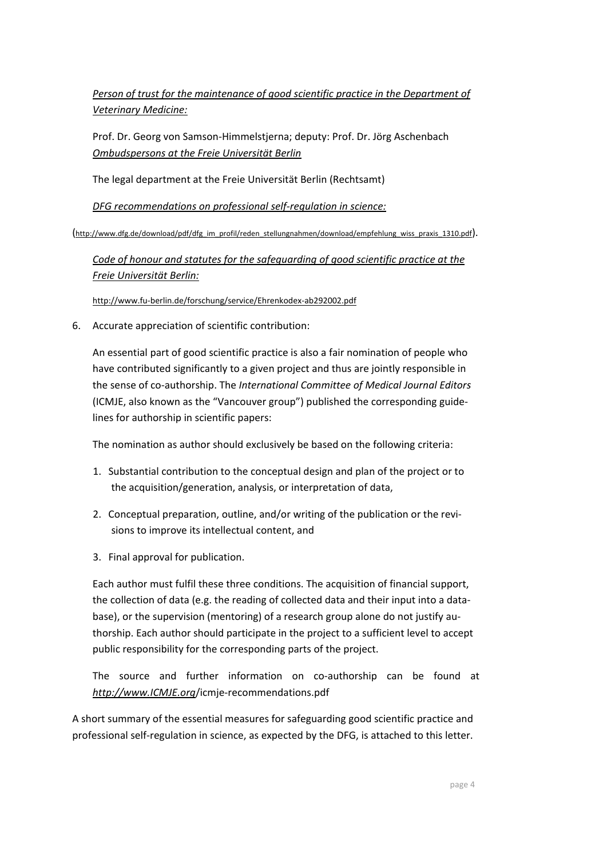*Person of trust for the maintenance of good scientific practice in the Department of Veterinary Medicine:*

Prof. Dr. Georg von Samson‐Himmelstjerna; deputy: Prof. Dr. Jörg Aschenbach *Ombudspersons at the Freie Universität Berlin*

The legal department at the Freie Universität Berlin (Rechtsamt)

*DFG recommendations on professional self‐regulation in science:*

(http://www.dfg.de/download/pdf/dfg\_im\_profil/reden\_stellungnahmen/download/empfehlung\_wiss\_praxis\_1310.pdf).

*Code of honour and statutes for the safeguarding of good scientific practice at the Freie Universität Berlin:*

http://www.fu‐berlin.de/forschung/service/Ehrenkodex‐ab292002.pdf

6. Accurate appreciation of scientific contribution:

An essential part of good scientific practice is also a fair nomination of people who have contributed significantly to a given project and thus are jointly responsible in the sense of co‐authorship. The *International Committee of Medical Journal Editors* (ICMJE, also known as the "Vancouver group") published the corresponding guide‐ lines for authorship in scientific papers:

The nomination as author should exclusively be based on the following criteria:

- 1. Substantial contribution to the conceptual design and plan of the project or to the acquisition/generation, analysis, or interpretation of data,
- 2. Conceptual preparation, outline, and/or writing of the publication or the revisions to improve its intellectual content, and
- 3. Final approval for publication.

Each author must fulfil these three conditions. The acquisition of financial support, the collection of data (e.g. the reading of collected data and their input into a database), or the supervision (mentoring) of a research group alone do not justify authorship. Each author should participate in the project to a sufficient level to accept public responsibility for the corresponding parts of the project.

The source and further information on co-authorship can be found at *http://www.ICMJE.org*/icmje‐recommendations.pdf

A short summary of the essential measures for safeguarding good scientific practice and professional self-regulation in science, as expected by the DFG, is attached to this letter.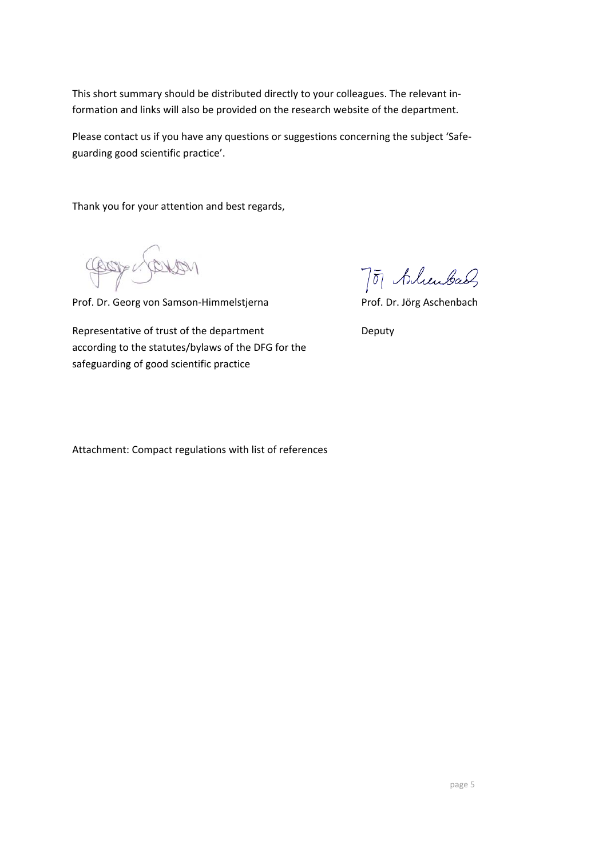This short summary should be distributed directly to your colleagues. The relevant in‐ formation and links will also be provided on the research website of the department.

Please contact us if you have any questions or suggestions concerning the subject 'Safe‐ guarding good scientific practice'.

Thank you for your attention and best regards,

Compusation

Prof. Dr. Georg von Samson‐Himmelstjerna Prof. Dr. Jörg Aschenbach

Representative of trust of the department **Secure 20 Figure 2018** Deputy according to the statutes/bylaws of the DFG for the safeguarding of good scientific practice

7 of Alunbach

Attachment: Compact regulations with list of references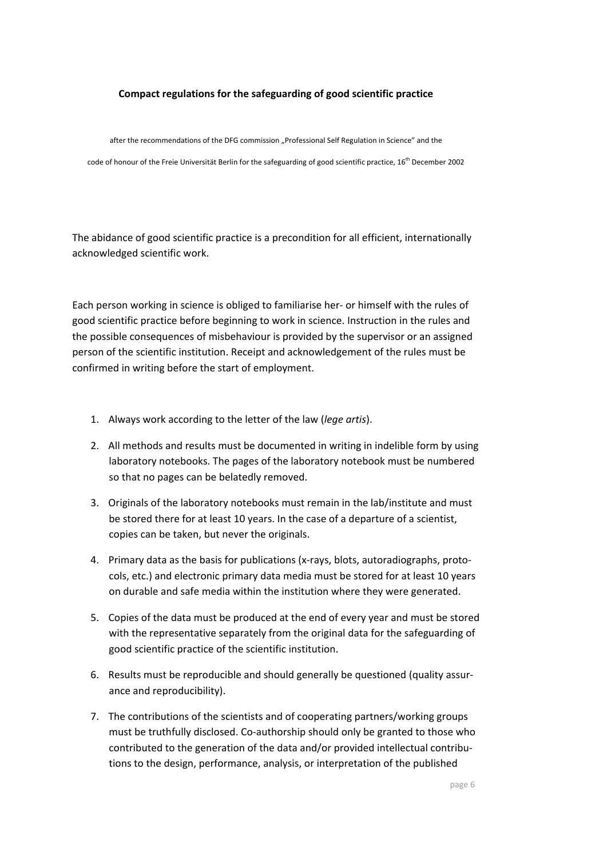## **Compact regulations for the safeguarding of good scientific practice**

after the recommendations of the DFG commission "Professional Self Regulation in Science" and the

code of honour of the Freie Universität Berlin for the safeguarding of good scientific practice, 16<sup>th</sup> December 2002

The abidance of good scientific practice is a precondition for all efficient, internationally acknowledged scientific work.

Each person working in science is obliged to familiarise her‐ or himself with the rules of good scientific practice before beginning to work in science. Instruction in the rules and the possible consequences of misbehaviour is provided by the supervisor or an assigned person of the scientific institution. Receipt and acknowledgement of the rules must be confirmed in writing before the start of employment.

- 1. Always work according to the letter of the law (*lege artis*).
- 2. All methods and results must be documented in writing in indelible form by using laboratory notebooks. The pages of the laboratory notebook must be numbered so that no pages can be belatedly removed.
- 3. Originals of the laboratory notebooks must remain in the lab/institute and must be stored there for at least 10 years. In the case of a departure of a scientist, copies can be taken, but never the originals.
- 4. Primary data as the basis for publications (x‐rays, blots, autoradiographs, proto‐ cols, etc.) and electronic primary data media must be stored for at least 10 years on durable and safe media within the institution where they were generated.
- 5. Copies of the data must be produced at the end of every year and must be stored with the representative separately from the original data for the safeguarding of good scientific practice of the scientific institution.
- 6. Results must be reproducible and should generally be questioned (quality assur‐ ance and reproducibility).
- 7. The contributions of the scientists and of cooperating partners/working groups must be truthfully disclosed. Co-authorship should only be granted to those who contributed to the generation of the data and/or provided intellectual contribu‐ tions to the design, performance, analysis, or interpretation of the published